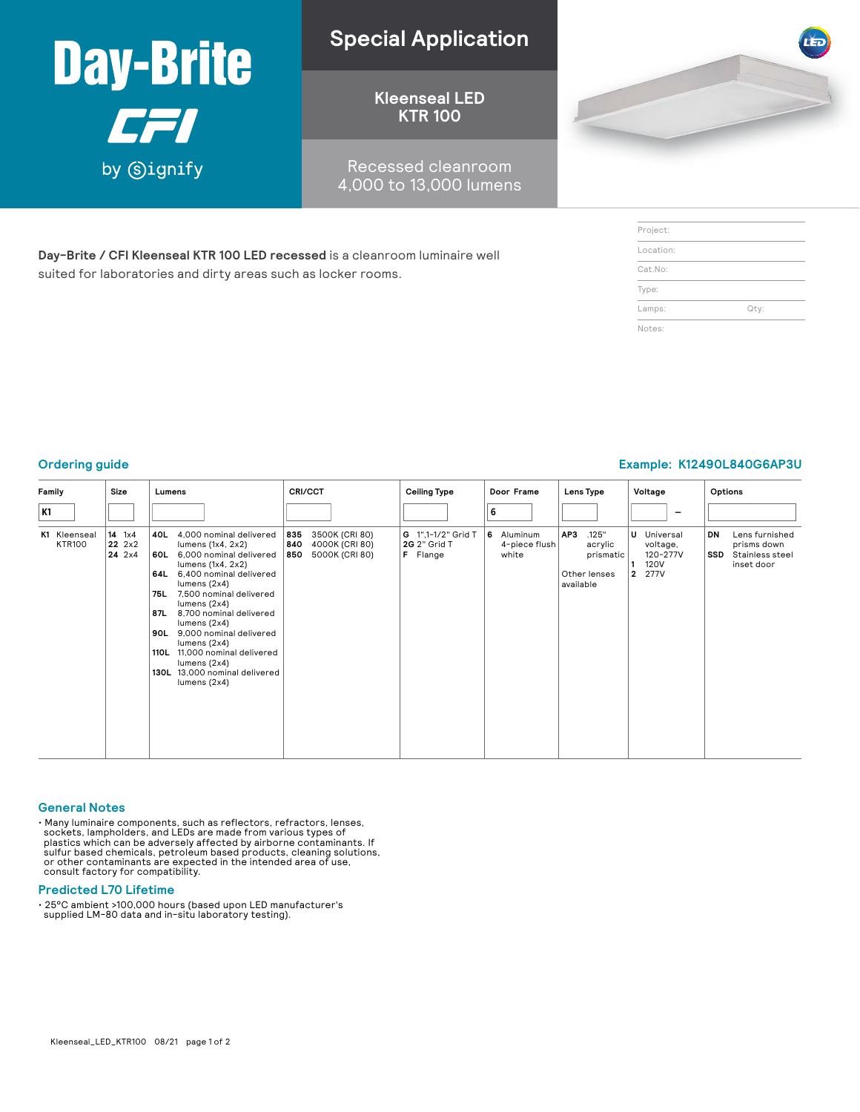

**Day-Brite / CFI Kleenseal KTR 100 LED recessed** is a cleanroom luminaire well

suited for laboratories and dirty areas such as locker rooms.

### **Special Application**

**Kleenseal LED KTR 100**

Recessed cleanroom 4,000 to 13,000 lumens



| Project:  |      |  |
|-----------|------|--|
| Location: |      |  |
| Cat.No:   |      |  |
| Type:     |      |  |
| Lamps:    | Qty: |  |
| Notes:    |      |  |

### **Ordering guide Example: K12490L840G6AP3U**

| Family                        | Size                            | Lumens                                                                                                                                                                                                                                                                                                                                                                                                                                  | CRI/CCT                                                                 | Ceiling Type                                   | Door Frame                           | Lens Type                                                         | Voltage                                                           | Options                                                                     |
|-------------------------------|---------------------------------|-----------------------------------------------------------------------------------------------------------------------------------------------------------------------------------------------------------------------------------------------------------------------------------------------------------------------------------------------------------------------------------------------------------------------------------------|-------------------------------------------------------------------------|------------------------------------------------|--------------------------------------|-------------------------------------------------------------------|-------------------------------------------------------------------|-----------------------------------------------------------------------------|
| K1                            |                                 |                                                                                                                                                                                                                                                                                                                                                                                                                                         |                                                                         |                                                | 6                                    |                                                                   | $\qquad \qquad$                                                   |                                                                             |
| K1 Kleenseal<br><b>KTR100</b> | $14 \t 1x4$<br>22 2x2<br>24 2x4 | 4,000 nominal delivered<br>40L<br>lumens $(1x4, 2x2)$<br>6,000 nominal delivered<br>60L<br>lumens $(1x4, 2x2)$<br>6,400 nominal delivered<br>64L<br>lumens $(2x4)$<br>7,500 nominal delivered<br>75L<br>lumens $(2x4)$<br>87L<br>8,700 nominal delivered<br>lumens $(2x4)$<br>9,000 nominal delivered<br>90L<br>lumens $(2x4)$<br>11,000 nominal delivered<br>110L<br>lumens $(2x4)$<br>130L 13,000 nominal delivered<br>lumens $(2x4)$ | 3500K (CRI 80)<br>835<br>840<br>4000K (CRI 80)<br>850<br>5000K (CRI 80) | G 1",1-1/2" Grid T<br>2G 2" Grid T<br>F Flange | 6 Aluminum<br>4-piece flush<br>white | .125"<br>AP3<br>acrylic<br>prismatic<br>Other lenses<br>available | U Universal<br>voltage,<br>120-277V<br><b>120V</b><br>277V<br>l 2 | Lens furnished<br>DN<br>prisms down<br>Stainless steel<br>SSD<br>inset door |

#### **General Notes**

• Many luminaire components, such as reflectors, refractors, lenses, sockets, lampholders, and LEDs are made from various types of plastics which can be adversely affected by airborne contaminants. If sulfur based chemical

### **Predicted L70 Lifetime**

• 25°C ambient >100,000 hours (based upon LED manufacturer's supplied LM-80 data and in-situ laboratory testing).